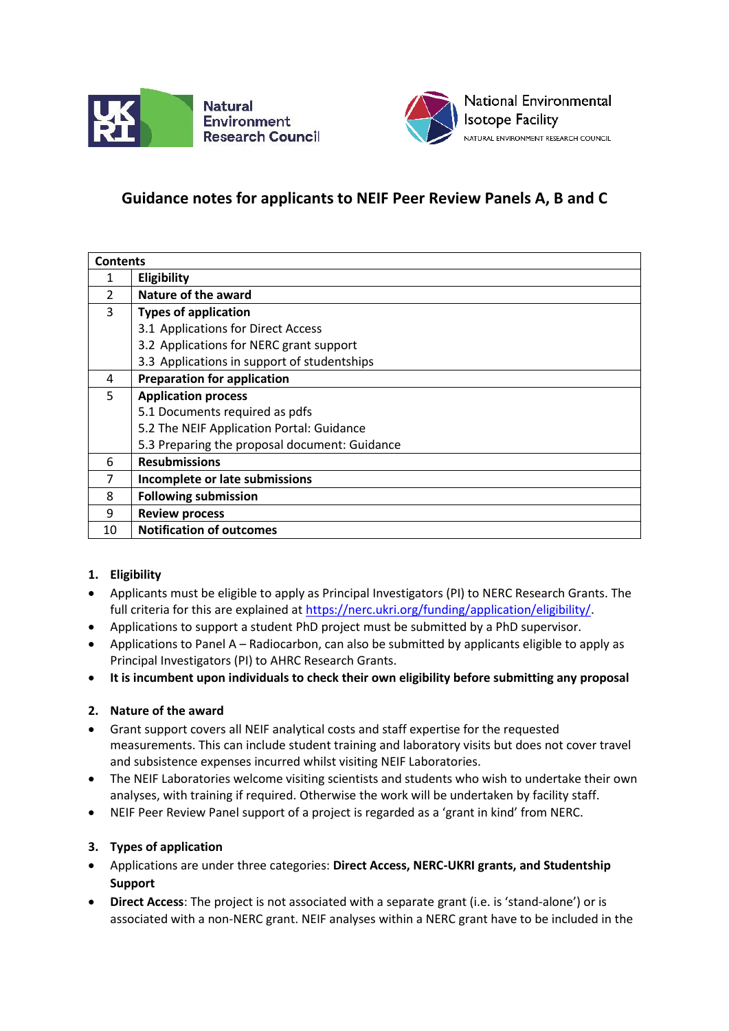



# **Guidance notes for applicants to NEIF Peer Review Panels A, B and C**

| <b>Contents</b> |                                               |
|-----------------|-----------------------------------------------|
|                 | Eligibility                                   |
| $\mathcal{P}$   | Nature of the award                           |
| 3               | <b>Types of application</b>                   |
|                 | 3.1 Applications for Direct Access            |
|                 | 3.2 Applications for NERC grant support       |
|                 | 3.3 Applications in support of studentships   |
| 4               | <b>Preparation for application</b>            |
| 5               | <b>Application process</b>                    |
|                 | 5.1 Documents required as pdfs                |
|                 | 5.2 The NEIF Application Portal: Guidance     |
|                 | 5.3 Preparing the proposal document: Guidance |
| 6               | <b>Resubmissions</b>                          |
| 7               | Incomplete or late submissions                |
| 8               | <b>Following submission</b>                   |
| 9               | <b>Review process</b>                         |
| 10              | <b>Notification of outcomes</b>               |

## **1. Eligibility**

- Applicants must be eligible to apply as Principal Investigators (PI) to NERC Research Grants. The full criteria for this are explained a[t https://nerc.ukri.org/funding/application/eligibility/.](https://nerc.ukri.org/funding/application/eligibility/)
- Applications to support a student PhD project must be submitted by a PhD supervisor.
- Applications to Panel A Radiocarbon, can also be submitted by applicants eligible to apply as Principal Investigators (PI) to AHRC Research Grants.
- **It is incumbent upon individuals to check their own eligibility before submitting any proposal**

## **2. Nature of the award**

- Grant support covers all NEIF analytical costs and staff expertise for the requested measurements. This can include student training and laboratory visits but does not cover travel and subsistence expenses incurred whilst visiting NEIF Laboratories.
- The NEIF Laboratories welcome visiting scientists and students who wish to undertake their own analyses, with training if required. Otherwise the work will be undertaken by facility staff.
- NEIF Peer Review Panel support of a project is regarded as a 'grant in kind' from NERC.

## **3. Types of application**

- Applications are under three categories: **Direct Access, NERC-UKRI grants, and Studentship Support**
- **Direct Access**: The project is not associated with a separate grant (i.e. is 'stand-alone') or is associated with a non-NERC grant. NEIF analyses within a NERC grant have to be included in the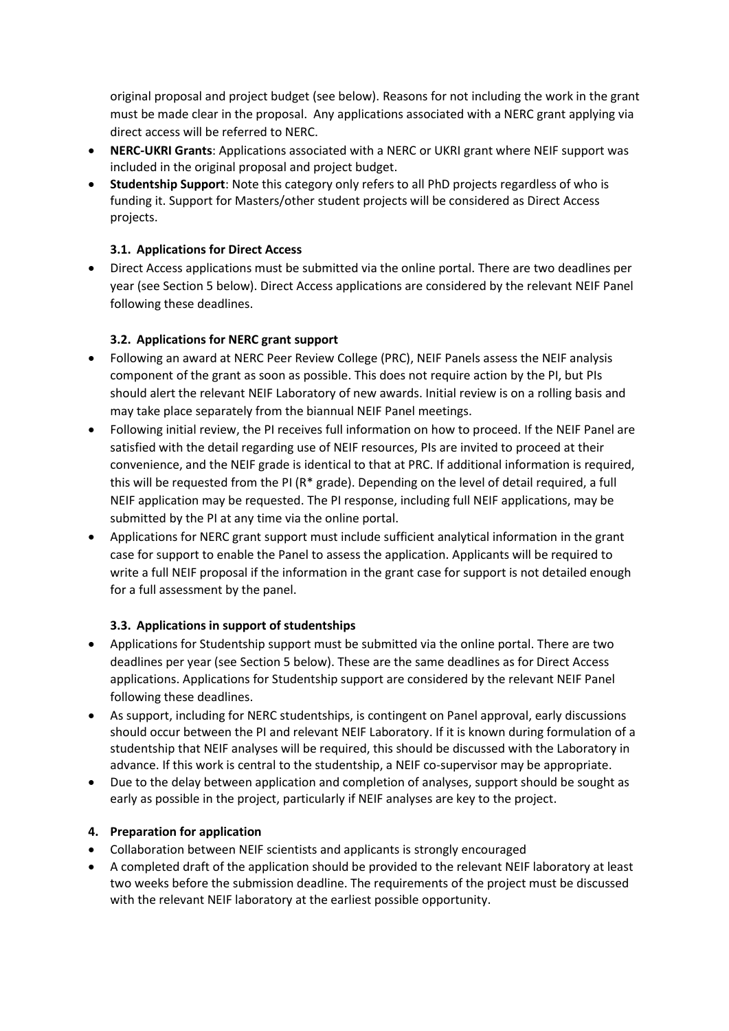original proposal and project budget (see below). Reasons for not including the work in the grant must be made clear in the proposal. Any applications associated with a NERC grant applying via direct access will be referred to NERC.

- **NERC-UKRI Grants**: Applications associated with a NERC or UKRI grant where NEIF support was included in the original proposal and project budget.
- **Studentship Support**: Note this category only refers to all PhD projects regardless of who is funding it. Support for Masters/other student projects will be considered as Direct Access projects.

## **3.1. Applications for Direct Access**

• Direct Access applications must be submitted via the online portal. There are two deadlines per year (see Section 5 below). Direct Access applications are considered by the relevant NEIF Panel following these deadlines.

## **3.2. Applications for NERC grant support**

- Following an award at NERC Peer Review College (PRC), NEIF Panels assess the NEIF analysis component of the grant as soon as possible. This does not require action by the PI, but PIs should alert the relevant NEIF Laboratory of new awards. Initial review is on a rolling basis and may take place separately from the biannual NEIF Panel meetings.
- Following initial review, the PI receives full information on how to proceed. If the NEIF Panel are satisfied with the detail regarding use of NEIF resources, PIs are invited to proceed at their convenience, and the NEIF grade is identical to that at PRC. If additional information is required, this will be requested from the PI (R\* grade). Depending on the level of detail required, a full NEIF application may be requested. The PI response, including full NEIF applications, may be submitted by the PI at any time via the online portal.
- Applications for NERC grant support must include sufficient analytical information in the grant case for support to enable the Panel to assess the application. Applicants will be required to write a full NEIF proposal if the information in the grant case for support is not detailed enough for a full assessment by the panel.

## **3.3. Applications in support of studentships**

- Applications for Studentship support must be submitted via the online portal. There are two deadlines per year (see Section 5 below). These are the same deadlines as for Direct Access applications. Applications for Studentship support are considered by the relevant NEIF Panel following these deadlines.
- As support, including for NERC studentships, is contingent on Panel approval, early discussions should occur between the PI and relevant NEIF Laboratory. If it is known during formulation of a studentship that NEIF analyses will be required, this should be discussed with the Laboratory in advance. If this work is central to the studentship, a NEIF co-supervisor may be appropriate.
- Due to the delay between application and completion of analyses, support should be sought as early as possible in the project, particularly if NEIF analyses are key to the project.

## **4. Preparation for application**

- Collaboration between NEIF scientists and applicants is strongly encouraged
- A completed draft of the application should be provided to the relevant NEIF laboratory at least two weeks before the submission deadline. The requirements of the project must be discussed with the relevant NEIF laboratory at the earliest possible opportunity.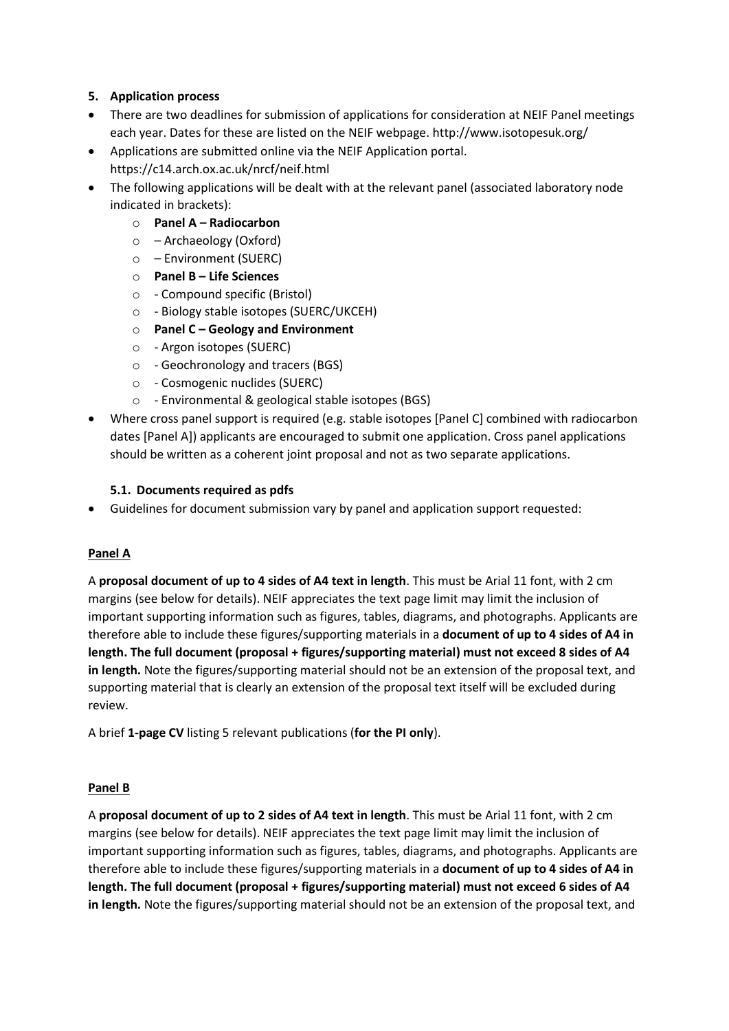## **5. Application process**

- There are two deadlines for submission of applications for consideration at NEIF Panel meetings each year. Dates for these are listed on the NEIF webpage. http://www.isotopesuk.org/
- Applications are submitted online via the NEIF Application portal.
	- https://c14.arch.ox.ac.uk/nrcf/neif.html
- The following applications will be dealt with at the relevant panel (associated laboratory node indicated in brackets):
	- o **Panel A – Radiocarbon**
	- o Archaeology (Oxford)
	- o Environment (SUERC)
	- o **Panel B – Life Sciences**
	- o Compound specific (Bristol)
	- o Biology stable isotopes (SUERC/UKCEH)
	- o **Panel C – Geology and Environment**
	- o Argon isotopes (SUERC)
	- o Geochronology and tracers (BGS)
	- o Cosmogenic nuclides (SUERC)
	- o Environmental & geological stable isotopes (BGS)
- Where cross panel support is required (e.g. stable isotopes [Panel C] combined with radiocarbon dates [Panel A]) applicants are encouraged to submit one application. Cross panel applications should be written as a coherent joint proposal and not as two separate applications.

#### **5.1. Documents required as pdfs**

• Guidelines for document submission vary by panel and application support requested:

## **Panel A**

A **proposal document of up to 4 sides of A4 text in length**. This must be Arial 11 font, with 2 cm margins (see below for details). NEIF appreciates the text page limit may limit the inclusion of important supporting information such as figures, tables, diagrams, and photographs. Applicants are therefore able to include these figures/supporting materials in a **document of up to 4 sides of A4 in length. The full document (proposal + figures/supporting material) must not exceed 8 sides of A4 in length.** Note the figures/supporting material should not be an extension of the proposal text, and supporting material that is clearly an extension of the proposal text itself will be excluded during review.

A brief **1-page CV** listing 5 relevant publications (**for the PI only**).

#### **Panel B**

A **proposal document of up to 2 sides of A4 text in length**. This must be Arial 11 font, with 2 cm margins (see below for details). NEIF appreciates the text page limit may limit the inclusion of important supporting information such as figures, tables, diagrams, and photographs. Applicants are therefore able to include these figures/supporting materials in a **document of up to 4 sides of A4 in length. The full document (proposal + figures/supporting material) must not exceed 6 sides of A4 in length.** Note the figures/supporting material should not be an extension of the proposal text, and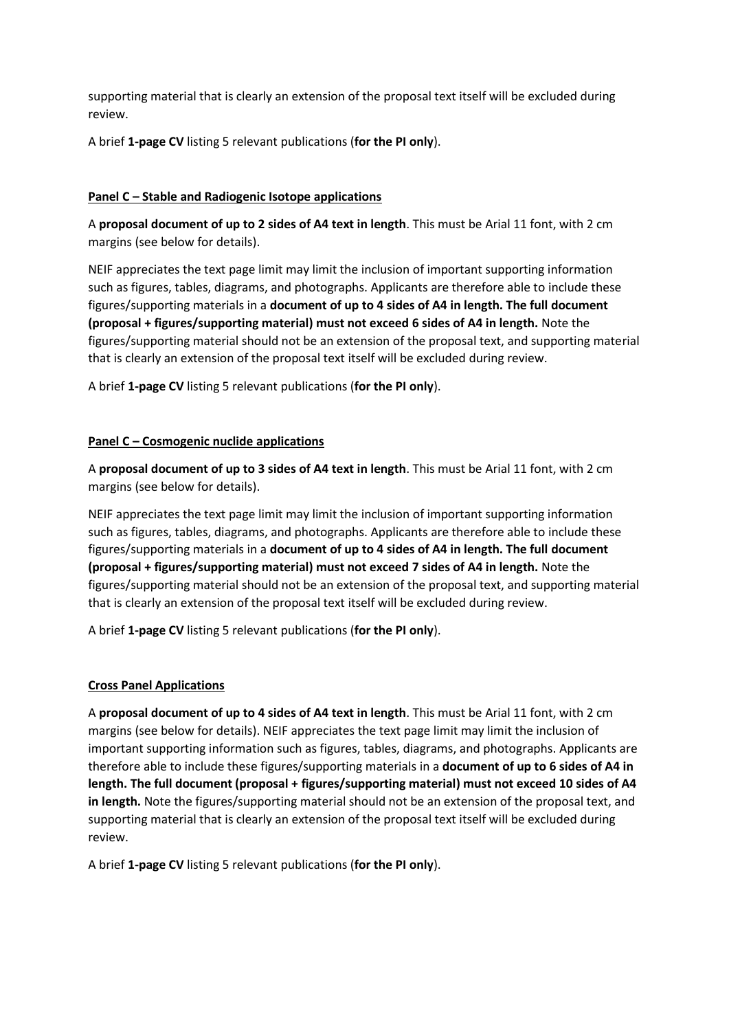supporting material that is clearly an extension of the proposal text itself will be excluded during review.

A brief **1-page CV** listing 5 relevant publications (**for the PI only**).

## **Panel C – Stable and Radiogenic Isotope applications**

A **proposal document of up to 2 sides of A4 text in length**. This must be Arial 11 font, with 2 cm margins (see below for details).

NEIF appreciates the text page limit may limit the inclusion of important supporting information such as figures, tables, diagrams, and photographs. Applicants are therefore able to include these figures/supporting materials in a **document of up to 4 sides of A4 in length. The full document (proposal + figures/supporting material) must not exceed 6 sides of A4 in length.** Note the figures/supporting material should not be an extension of the proposal text, and supporting material that is clearly an extension of the proposal text itself will be excluded during review.

A brief **1-page CV** listing 5 relevant publications (**for the PI only**).

#### **Panel C – Cosmogenic nuclide applications**

A **proposal document of up to 3 sides of A4 text in length**. This must be Arial 11 font, with 2 cm margins (see below for details).

NEIF appreciates the text page limit may limit the inclusion of important supporting information such as figures, tables, diagrams, and photographs. Applicants are therefore able to include these figures/supporting materials in a **document of up to 4 sides of A4 in length. The full document (proposal + figures/supporting material) must not exceed 7 sides of A4 in length.** Note the figures/supporting material should not be an extension of the proposal text, and supporting material that is clearly an extension of the proposal text itself will be excluded during review.

A brief **1-page CV** listing 5 relevant publications (**for the PI only**).

#### **Cross Panel Applications**

A **proposal document of up to 4 sides of A4 text in length**. This must be Arial 11 font, with 2 cm margins (see below for details). NEIF appreciates the text page limit may limit the inclusion of important supporting information such as figures, tables, diagrams, and photographs. Applicants are therefore able to include these figures/supporting materials in a **document of up to 6 sides of A4 in length. The full document (proposal + figures/supporting material) must not exceed 10 sides of A4 in length.** Note the figures/supporting material should not be an extension of the proposal text, and supporting material that is clearly an extension of the proposal text itself will be excluded during review.

A brief **1-page CV** listing 5 relevant publications (**for the PI only**).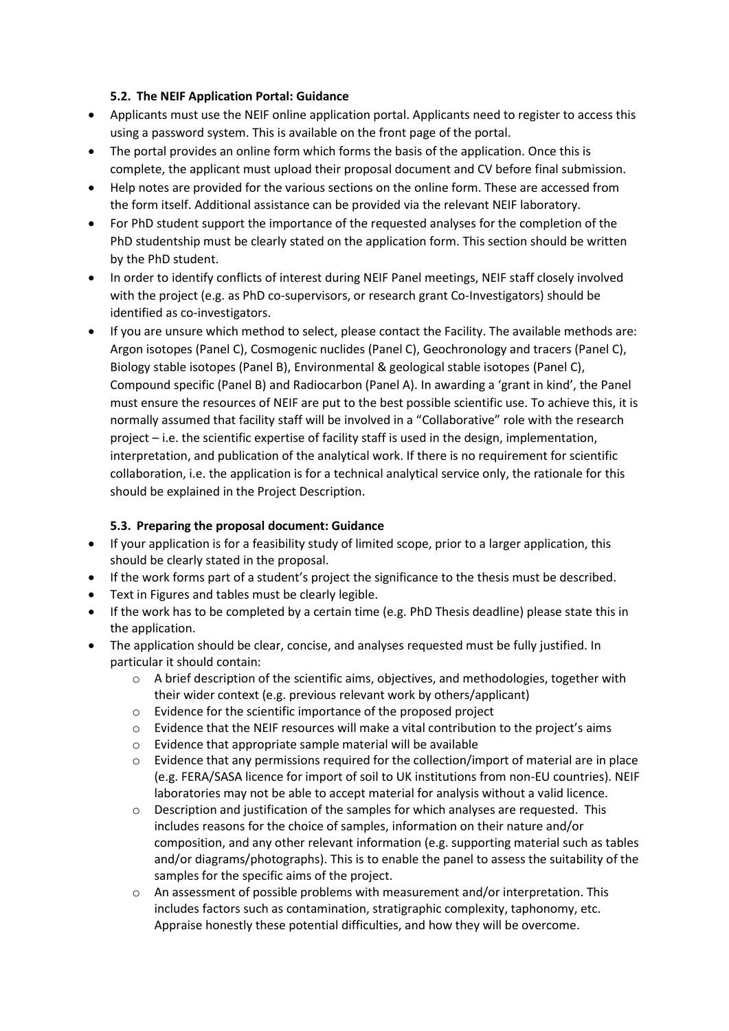#### **5.2. The NEIF Application Portal: Guidance**

- Applicants must use the NEIF online application portal. Applicants need to register to access this using a password system. This is available on the front page of the portal.
- The portal provides an online form which forms the basis of the application. Once this is complete, the applicant must upload their proposal document and CV before final submission.
- Help notes are provided for the various sections on the online form. These are accessed from the form itself. Additional assistance can be provided via the relevant NEIF laboratory.
- For PhD student support the importance of the requested analyses for the completion of the PhD studentship must be clearly stated on the application form. This section should be written by the PhD student.
- In order to identify conflicts of interest during NEIF Panel meetings, NEIF staff closely involved with the project (e.g. as PhD co-supervisors, or research grant Co-Investigators) should be identified as co-investigators.
- If you are unsure which method to select, please contact the Facility. The available methods are: Argon isotopes (Panel C), Cosmogenic nuclides (Panel C), Geochronology and tracers (Panel C), Biology stable isotopes (Panel B), Environmental & geological stable isotopes (Panel C), Compound specific (Panel B) and Radiocarbon (Panel A). In awarding a 'grant in kind', the Panel must ensure the resources of NEIF are put to the best possible scientific use. To achieve this, it is normally assumed that facility staff will be involved in a "Collaborative" role with the research project – i.e. the scientific expertise of facility staff is used in the design, implementation, interpretation, and publication of the analytical work. If there is no requirement for scientific collaboration, i.e. the application is for a technical analytical service only, the rationale for this should be explained in the Project Description.

## **5.3. Preparing the proposal document: Guidance**

- If your application is for a feasibility study of limited scope, prior to a larger application, this should be clearly stated in the proposal.
- If the work forms part of a student's project the significance to the thesis must be described.
- Text in Figures and tables must be clearly legible.
- If the work has to be completed by a certain time (e.g. PhD Thesis deadline) please state this in the application.
- The application should be clear, concise, and analyses requested must be fully justified. In particular it should contain:
	- $\circ$  A brief description of the scientific aims, objectives, and methodologies, together with their wider context (e.g. previous relevant work by others/applicant)
	- o Evidence for the scientific importance of the proposed project
	- o Evidence that the NEIF resources will make a vital contribution to the project's aims
	- o Evidence that appropriate sample material will be available
	- $\circ$  Evidence that any permissions required for the collection/import of material are in place (e.g. FERA/SASA licence for import of soil to UK institutions from non-EU countries). NEIF laboratories may not be able to accept material for analysis without a valid licence.
	- $\circ$  Description and justification of the samples for which analyses are requested. This includes reasons for the choice of samples, information on their nature and/or composition, and any other relevant information (e.g. supporting material such as tables and/or diagrams/photographs). This is to enable the panel to assess the suitability of the samples for the specific aims of the project.
	- $\circ$  An assessment of possible problems with measurement and/or interpretation. This includes factors such as contamination, stratigraphic complexity, taphonomy, etc. Appraise honestly these potential difficulties, and how they will be overcome.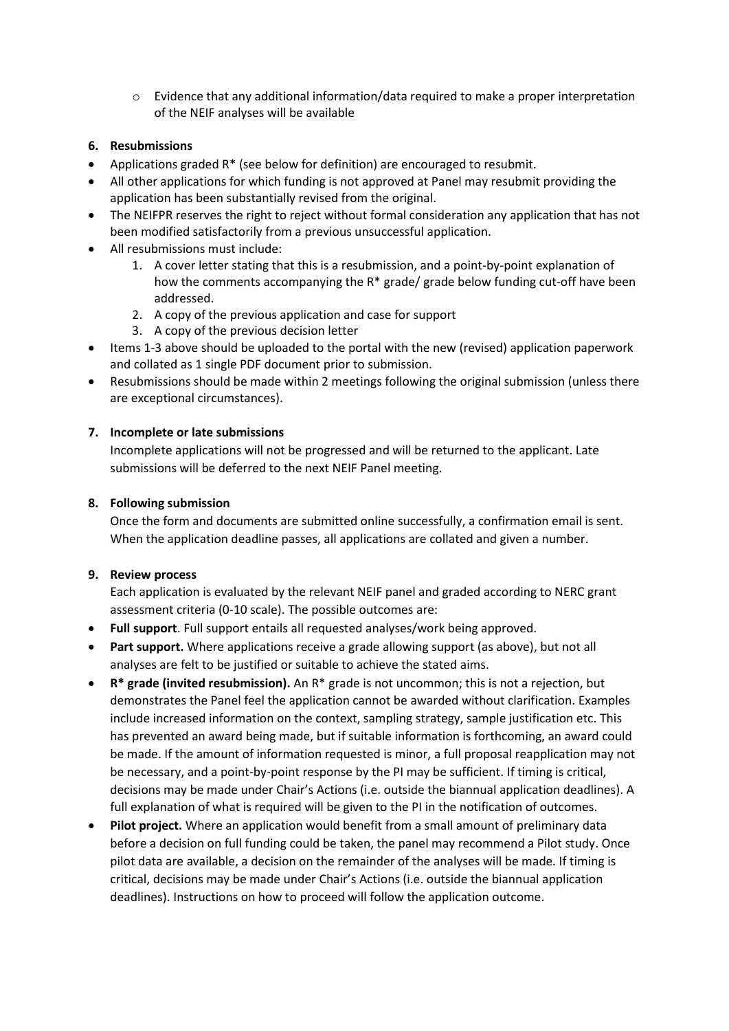$\circ$  Evidence that any additional information/data required to make a proper interpretation of the NEIF analyses will be available

## **6. Resubmissions**

- Applications graded R\* (see below for definition) are encouraged to resubmit.
- All other applications for which funding is not approved at Panel may resubmit providing the application has been substantially revised from the original.
- The NEIFPR reserves the right to reject without formal consideration any application that has not been modified satisfactorily from a previous unsuccessful application.
- All resubmissions must include:
	- 1. A cover letter stating that this is a resubmission, and a point-by-point explanation of how the comments accompanying the R\* grade/ grade below funding cut-off have been addressed.
	- 2. A copy of the previous application and case for support
	- 3. A copy of the previous decision letter
- Items 1-3 above should be uploaded to the portal with the new (revised) application paperwork and collated as 1 single PDF document prior to submission.
- Resubmissions should be made within 2 meetings following the original submission (unless there are exceptional circumstances).

#### **7. Incomplete or late submissions**

Incomplete applications will not be progressed and will be returned to the applicant. Late submissions will be deferred to the next NEIF Panel meeting.

#### **8. Following submission**

Once the form and documents are submitted online successfully, a confirmation email is sent. When the application deadline passes, all applications are collated and given a number.

#### **9. Review process**

Each application is evaluated by the relevant NEIF panel and graded according to NERC grant assessment criteria (0-10 scale). The possible outcomes are:

- **Full support**. Full support entails all requested analyses/work being approved.
- **Part support.** Where applications receive a grade allowing support (as above), but not all analyses are felt to be justified or suitable to achieve the stated aims.
- **R\* grade (invited resubmission).** An R\* grade is not uncommon; this is not a rejection, but demonstrates the Panel feel the application cannot be awarded without clarification. Examples include increased information on the context, sampling strategy, sample justification etc. This has prevented an award being made, but if suitable information is forthcoming, an award could be made. If the amount of information requested is minor, a full proposal reapplication may not be necessary, and a point-by-point response by the PI may be sufficient. If timing is critical, decisions may be made under Chair's Actions (i.e. outside the biannual application deadlines). A full explanation of what is required will be given to the PI in the notification of outcomes.
- **Pilot project.** Where an application would benefit from a small amount of preliminary data before a decision on full funding could be taken, the panel may recommend a Pilot study. Once pilot data are available, a decision on the remainder of the analyses will be made. If timing is critical, decisions may be made under Chair's Actions (i.e. outside the biannual application deadlines). Instructions on how to proceed will follow the application outcome.